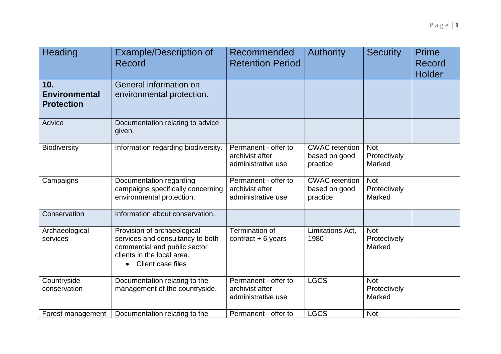| Heading                                          | <b>Example/Description of</b><br>Record                                                                                                            | Recommended<br><b>Retention Period</b>                        | <b>Authority</b>                                   | <b>Security</b>                      | <b>Prime</b><br>Record<br>Holder |
|--------------------------------------------------|----------------------------------------------------------------------------------------------------------------------------------------------------|---------------------------------------------------------------|----------------------------------------------------|--------------------------------------|----------------------------------|
| 10.<br><b>Environmental</b><br><b>Protection</b> | General information on<br>environmental protection.                                                                                                |                                                               |                                                    |                                      |                                  |
| Advice                                           | Documentation relating to advice<br>given.                                                                                                         |                                                               |                                                    |                                      |                                  |
| <b>Biodiversity</b>                              | Information regarding biodiversity.                                                                                                                | Permanent - offer to<br>archivist after<br>administrative use | <b>CWAC</b> retention<br>based on good<br>practice | <b>Not</b><br>Protectively<br>Marked |                                  |
| Campaigns                                        | Documentation regarding<br>campaigns specifically concerning<br>environmental protection.                                                          | Permanent - offer to<br>archivist after<br>administrative use | <b>CWAC</b> retention<br>based on good<br>practice | <b>Not</b><br>Protectively<br>Marked |                                  |
| Conservation                                     | Information about conservation.                                                                                                                    |                                                               |                                                    |                                      |                                  |
| Archaeological<br>services                       | Provision of archaeological<br>services and consultancy to both<br>commercial and public sector<br>clients in the local area.<br>Client case files | Termination of<br>contract $+6$ years                         | Limitations Act,<br>1980                           | <b>Not</b><br>Protectively<br>Marked |                                  |
| Countryside<br>conservation                      | Documentation relating to the<br>management of the countryside.                                                                                    | Permanent - offer to<br>archivist after<br>administrative use | <b>LGCS</b>                                        | <b>Not</b><br>Protectively<br>Marked |                                  |
| Forest management                                | Documentation relating to the                                                                                                                      | Permanent - offer to                                          | <b>LGCS</b>                                        | <b>Not</b>                           |                                  |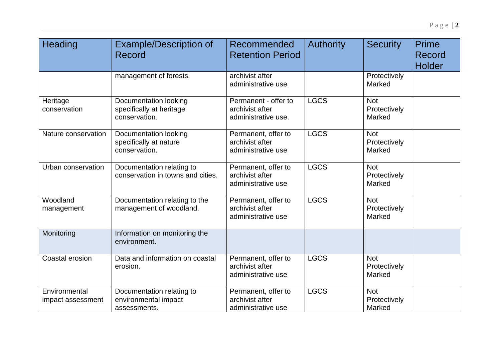| Heading                            | <b>Example/Description of</b><br>Record                            | Recommended<br><b>Retention Period</b>                         | <b>Authority</b> | <b>Security</b>                      | Prime<br><b>Record</b><br>Holder |
|------------------------------------|--------------------------------------------------------------------|----------------------------------------------------------------|------------------|--------------------------------------|----------------------------------|
|                                    | management of forests.                                             | archivist after<br>administrative use                          |                  | Protectively<br>Marked               |                                  |
| Heritage<br>conservation           | Documentation looking<br>specifically at heritage<br>conservation. | Permanent - offer to<br>archivist after<br>administrative use. | <b>LGCS</b>      | <b>Not</b><br>Protectively<br>Marked |                                  |
| Nature conservation                | Documentation looking<br>specifically at nature<br>conservation.   | Permanent, offer to<br>archivist after<br>administrative use   | <b>LGCS</b>      | <b>Not</b><br>Protectively<br>Marked |                                  |
| Urban conservation                 | Documentation relating to<br>conservation in towns and cities.     | Permanent, offer to<br>archivist after<br>administrative use   | <b>LGCS</b>      | <b>Not</b><br>Protectively<br>Marked |                                  |
| Woodland<br>management             | Documentation relating to the<br>management of woodland.           | Permanent, offer to<br>archivist after<br>administrative use   | <b>LGCS</b>      | <b>Not</b><br>Protectively<br>Marked |                                  |
| Monitoring                         | Information on monitoring the<br>environment.                      |                                                                |                  |                                      |                                  |
| Coastal erosion                    | Data and information on coastal<br>erosion.                        | Permanent, offer to<br>archivist after<br>administrative use   | <b>LGCS</b>      | <b>Not</b><br>Protectively<br>Marked |                                  |
| Environmental<br>impact assessment | Documentation relating to<br>environmental impact<br>assessments.  | Permanent, offer to<br>archivist after<br>administrative use   | <b>LGCS</b>      | <b>Not</b><br>Protectively<br>Marked |                                  |